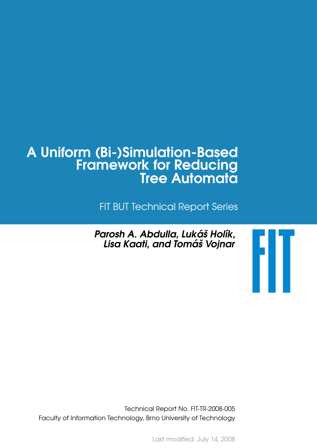# A Uniform (Bi-)Simulation-Based Framework for Reducing Tree Automata

FIT BUT Technical Report Series

Parosh A. Abdulla, Lukáš Holík, Lisa Kaati, and Tomáš Vojnar

H

Technical Report No. FIT-TR-2008-005 Faculty of Information Technology, Brno University of Technology

Last modified: July 14, 2008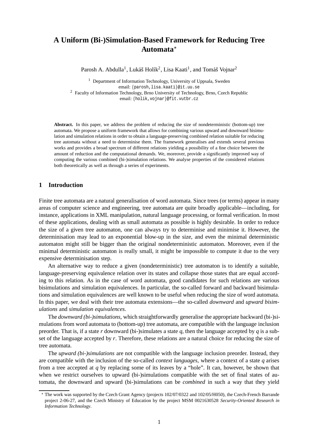# **A Uniform (Bi-)Simulation-Based Framework for Reducing Tree Automata**?

Parosh A. Abdulla<sup>1</sup>, Lukáš Holík<sup>2</sup>, Lisa Kaati<sup>1</sup>, and Tomáš Vojnar<sup>2</sup>

 $1$  Department of Information Technology, University of Uppsala, Sweden email: {parosh,lisa.kaati}@it.uu.se <sup>2</sup> Faculty of Information Technology, Brno University of Technology, Brno, Czech Republic email: {holik,vojnar}@fit.vutbr.cz

**Abstract.** In this paper, we address the problem of reducing the size of nondeterministic (bottom-up) tree automata. We propose a uniform framework that allows for combining various upward and downward bisimulation and simulation relations in order to obtain a language-preserving combined relation suitable for reducing tree automata without a need to determinise them. The framework generalises and extends several previous works and provides a broad spectrum of different relations yielding a possibility of a fine choice between the amount of reduction and the computational demands. We, moreover, provide a significantly improved way of computing the various combined (bi-)simulation relations. We analyse properties of the considered relations both theoretically as well as through a series of experiments.

# **1 Introduction**

Finite tree automata are a natural generalisation of word automata. Since trees (or terms) appear in many areas of computer science and engineering, tree automata are quite broadly applicable—including, for instance, applications in XML manipulation, natural language processing, or formal verification. In most of these applications, dealing with as small automata as possible is highly desirable. In order to reduce the size of a given tree automaton, one can always try to determinise and minimise it. However, the determinisation may lead to an exponential blow-up in the size, and even the minimal deterministic automaton might still be bigger than the original nondeterministic automaton. Moreover, even if the minimal deterministic automaton is really small, it might be impossible to compute it due to the very expensive determinisation step.

An alternative way to reduce a given (nondeterministic) tree automaton is to identify a suitable, language-preserving equivalence relation over its states and collapse those states that are equal according to this relation. As in the case of word automata, good candidates for such relations are various bisimulations and simulation equivalences. In particular, the so-called forward and backward bisimulations and simulation equivalences are well known to be useful when reducing the size of word automata. In this paper, we deal with their tree automata extensions—the so-called *downward* and *upward bisimulations* and *simulation equivalences*.

The *downward (bi-)simulations*, which straightforwardly generalise the appropriate backward (bi-)simulations from word automata to (bottom-up) tree automata, are compatible with the language inclusion preorder. That is, if a state *r* downward (bi-)simulates a state *q*, then the language accepted by *q* is a subset of the language accepted by *r*. Therefore, these relations are a natural choice for reducing the size of tree automata.

The *upward (bi-)simulations* are not compatible with the language inclusion preorder. Instead, they are compatible with the inclusion of the so-called *context languages*, where a context of a state *q* arises from a tree accepted at *q* by replacing some of its leaves by a "hole". It can, however, be shown that when we restrict ourselves to upward (bi-)simulations compatible with the set of final states of automata, the downward and upward (bi-)simulations can be *combined* in such a way that they yield

<sup>?</sup> The work was supported by the Czech Grant Agency (projects 102/07/0322 and 102/05/H050), the Czech-French Barrande project 2-06-27, and the Czech Ministry of Education by the project MSM 0021630528 *Security-Oriented Research in Information Technology*.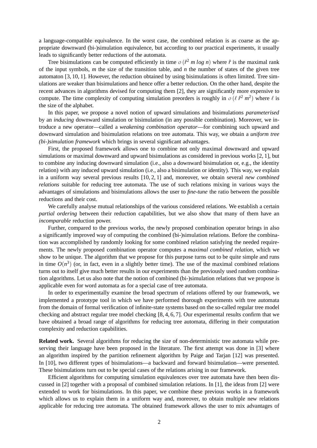a language-compatible equivalence. In the worst case, the combined relation is as coarse as the appropriate downward (bi-)simulation equivalence, but according to our practical experiments, it usually leads to significantly better reductions of the automata.

Tree bisimulations can be computed efficiently in time  $\sigma(\hat{r}^2 \text{ m} \log n)$  where  $\hat{r}$  is the maximal rank of the input symbols, *m* the size of the transition table, and *n* the number of states of the given tree automaton [3, 10, 1]. However, the reduction obtained by using bisimulations is often limited. Tree simulations are weaker than bisimulations and hence offer a better reduction. On the other hand, despite the recent advances in algorithms devised for computing them [2], they are significantly more expensive to compute. The time complexity of computing simulation preorders is roughly in  $o(\ell \hat{r}^2 m^2)$  where  $\ell$  is the size of the alphabet.

In this paper, we propose a novel notion of upward simulations and bisimulations *parameterised* by an *inducing* downward simulation or bisimulation (in any possible combination). Moreover, we introduce a new operator—called a *weakening combination operator*—for combining such upward and downward simulation and bisimulation relations on tree automata. This way, we obtain a *uniform tree (bi-)simulation framework* which brings in several significant advantages.

First, the proposed framework allows one to combine not only maximal downward and upward simulations or maximal downward and upward bisimulations as considered in previous works [2, 1], but to combine any inducing downward simulation (i.e., also a downward bisimulation or, e.g., the identity relation) with any induced upward simulation (i.e., also a bisimulation or identity). This way, we explain in a uniform way several previous results [10, 2, 1] and, moreover, we obtain several *new combined relations* suitable for reducing tree automata. The use of such relations mixing in various ways the advantages of simulations and bisimulations allows the user to *fine-tune* the ratio between the possible reductions and their cost.

We carefully analyse mutual relationships of the various considered relations. We establish a certain *partial ordering* between their reduction capabilities, but we also show that many of them have an *incomparable* reduction power.

Further, compared to the previous works, the newly proposed combination operator brings in also a significantly improved way of computing the combined (bi-)simulation relations. Before the combination was accomplished by randomly looking for some combined relation satisfying the needed requirements. The newly proposed combination operator computes a *maximal combined relation*, which we show to be unique. The algorithm that we propose for this purpose turns out to be quite simple and runs in time  $O(n^3)$  (or, in fact, even in a slightly better time). The use of the maximal combined relations turns out to itself give much better results in our experiments than the previously used random combination algorithms. Let us also note that the notion of combined (bi-)simulation relations that we propose is applicable even for word automata as for a special case of tree automata.

In order to experimentally examine the broad spectrum of relations offered by our framework, we implemented a prototype tool in which we have performed thorough experiments with tree automata from the domain of formal verification of infinite-state systems based on the so-called regular tree model checking and abstract regular tree model checking [8, 4, 6, 7]. Our experimental results confirm that we have obtained a broad range of algorithms for reducing tree automata, differing in their computation complexity and reduction capabilities.

**Related work.** Several algorithms for reducing the size of non-deterministic tree automata while preserving their language have been proposed in the literature. The first attempt was done in [3] where an algorithm inspired by the partition refinement algorithm by Paige and Tarjan [12] was presented. In [10], two different types of bisimulations—a backward and forward bisimulation—were presented. These bisimulations turn out to be special cases of the relations arising in our framework.

Efficient algorithms for computing simulation equivalences over tree automata have then been discussed in [2] together with a proposal of combined simulation relations. In [1], the ideas from [2] were extended to work for bisimulations. In this paper, we combine these previous works in a framework which allows us to explain them in a uniform way and, moreover, to obtain multiple new relations applicable for reducing tree automata. The obtained framework allows the user to mix advantages of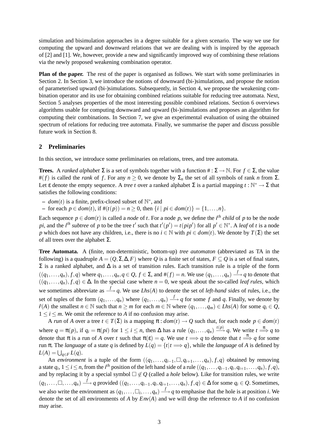simulation and bisimulation approaches in a degree suitable for a given scenario. The way we use for computing the upward and downward relations that we are dealing with is inspired by the approach of [2] and [1]. We, however, provide a new and significantly improved way of combining these relations via the newly proposed weakening combination operator.

**Plan of the paper.** The rest of the paper is organised as follows. We start with some preliminaries in Section 2. In Section 3, we introduce the notions of downward (bi-)simulations, and propose the notion of parameterised upward (bi-)simulations. Subsequently, in Section 4, we propose the weakening combination operator and its use for obtaining combined relations suitable for reducing tree automata. Next, Section 5 analyses properties of the most interesting possible combined relations. Section 6 overviews algorithms usable for computing downward and upward (bi-)simulations and proposes an algorithm for computing their combinations. In Section 7, we give an experimental evaluation of using the obtained spectrum of relations for reducing tree automata. Finally, we summarise the paper and discuss possible future work in Section 8.

# **2 Preliminaries**

In this section, we introduce some preliminaries on relations, trees, and tree automata.

**Trees.** A *ranked alphabet*  $\Sigma$  is a set of symbols together with a function  $\# : \Sigma \to \mathbb{N}$ . For  $f \in \Sigma$ , the value  $#(f)$  is called the *rank* of *f*. For any  $n \geq 0$ , we denote by  $\Sigma_n$  the set of all symbols of rank *n* from  $\Sigma$ . Let  $\varepsilon$  denote the empty sequence. A *tree t* over a ranked alphabet  $\Sigma$  is a partial mapping  $t : \mathbb{N}^* \to \Sigma$  that satisfies the following conditions:

**–** *dom*(*t*) is a finite, prefix-closed subset of N ∗ , and

**–** for each *p* ∈ *dom*(*t*), if #(*t*(*p*)) = *n* ≥ 0, then {*i* | *pi* ∈ *dom*(*t*)} = {1,...,*n*}.

Each sequence  $p \in dom(t)$  is called a *node* of t. For a node p, we define the *i*<sup>th</sup> *child* of p to be the node *pi*, and the *i*<sup>th</sup> subtree of *p* to be the tree *t*' such that  $t'(p') = t(pip')$  for all  $p' \in \mathbb{N}^*$ . A *leaf* of *t* is a node *p* which does not have any children, i.e., there is no  $i \in \mathbb{N}$  with  $pi \in dom(t)$ . We denote by  $T(\Sigma)$  the set of all trees over the alphabet  $Σ$ .

**Tree Automata.** A (finite, non-deterministic, bottom-up) *tree automaton* (abbreviated as TA in the following) is a quadruple  $A = (Q, \Sigma, \Delta, F)$  where Q is a finite set of states,  $F \subseteq Q$  is a set of final states, Σ is a ranked alphabet, and  $Δ$  is a set of transition rules. Each transition rule is a triple of the form  $((q_1,\ldots,q_n),f,q)$  where  $q_1,\ldots,q_n,q\in Q$ ,  $f\in\Sigma$ , and  $\#(f)=n$ . We use  $(q_1,\ldots,q_n)\stackrel{f}{\longrightarrow}q$  to denote that  $((q_1,...,q_n), f, q) \in \Delta$ . In the special case where  $n = 0$ , we speak about the so-called *leaf rules*, which we sometimes abbreviate as  $\frac{f}{\rightarrow} q$ . We use *Lhs*(*A*) to denote the set of *left-hand sides* of rules, i.e., the set of tuples of the form  $(q_1,...,q_n)$  where  $(q_1,...,q_n) \stackrel{f}{\longrightarrow} q$  for some *f* and *q*. Finally, we denote by *r*<sup>∂</sup>(*A*) the smallest *n* ∈ N such that *n* > *m* for each *m* ∈ N where  $(q_1, \ldots, q_m)$  ∈ *Lhs*(*A*) for some  $q_i$  ∈ *Q*,  $1 \leq i \leq m$ . We omit the reference to *A* if no confusion may arise.

A *run* of *A* over a tree  $t \in T(\Sigma)$  is a mapping  $\pi : dom(t) \to Q$  such that, for each node  $p \in dom(t)$ where  $q = \pi(p)$ , if  $q_i = \pi(pi)$  for  $1 \le i \le n$ , then  $\Delta$  has a rule  $(q_1, \ldots, q_n) \stackrel{t(p)}{\longrightarrow} q$ . We write  $t \stackrel{\pi}{\Longrightarrow} q$  to denote that  $\pi$  is a run of *A* over *t* such that  $\pi(\varepsilon) = q$ . We use  $t \Longrightarrow q$  to denote that  $t \stackrel{\pi}{\Longrightarrow} q$  for some run π. The *language* of a state *q* is defined by  $L(q) = \{t | t \implies q\}$ , while the *language* of *A* is defined by  $L(A) = \bigcup_{q \in F} L(q).$ 

An *environment* is a tuple of the form  $((q_1, \ldots, q_{i-1}, \Box, q_{i+1}, \ldots, q_n), f, q)$  obtained by removing a state  $q_i$ ,  $1 \le i \le n$ , from the *i*<sup>th</sup> position of the left hand side of a rule  $((q_1, \ldots, q_{i-1}, q_i, q_{i+1}, \ldots, q_n), f, q)$ , and by replacing it by a special symbol  $\Box \notin Q$  (called a *hole* below). Like for transition rules, we write  $(q_1,\ldots,\Box,\ldots,q_n)\stackrel{f}{\longrightarrow} q$  provided  $((q_1,\ldots,q_{i-1},q_i,q_{i+1},\ldots,q_n),f,q)\in\Delta$  for some  $q_i\in\mathcal{Q}$ . Sometimes, we also write the environment as  $(q_1, \ldots, \Box_i, \ldots, q_n) \stackrel{f}{\longrightarrow} q$  to emphasise that the hole is at position *i*. We denote the set of all environments of *A* by *Env*(*A*) and we will drop the reference to *A* if no confusion may arise.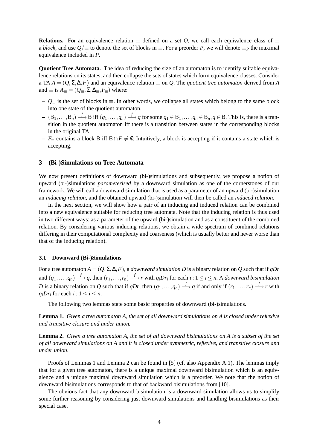**Relations.** For an equivalence relation  $\equiv$  defined on a set *Q*, we call each equivalence class of  $\equiv$ a *block*, and use  $Q/\equiv$  to denote the set of blocks in  $\equiv$ . For a preorder *P*, we will denote  $\equiv$ *P* the maximal equivalence included in *P*.

**Quotient Tree Automata.** The idea of reducing the size of an automaton is to identify suitable equivalence relations on its states, and then collapse the sets of states which form equivalence classes. Consider a TA  $A = (Q, \Sigma, \Delta, F)$  and an equivalence relation  $\equiv$  on  $Q$ . The *quotient tree automaton* derived from A and  $\equiv$  is  $A_{\equiv} = (Q_{\equiv}, \Sigma, \Delta_{\equiv}, F_{\equiv})$  where:

- **–** *Q*<sup>≡</sup> is the set of blocks in ≡. In other words, we collapse all states which belong to the same block into one state of the quotient automaton.
- $-$  (B<sub>1</sub>,...,B<sub>n</sub>)  $\stackrel{f}{\longrightarrow}$  B iff ( $q_1, \ldots, q_n$ )  $\stackrel{f}{\longrightarrow} q$  for some  $q_1 \in B_1, \ldots, q_n \in B_n, q \in B$ . This is, there is a transition in the quotient automaton iff there is a transition between states in the corresponding blocks in the original TA.
- $F =$ F≡ contains a block B iff B∩*F*  $\neq$  0. Intuitively, a block is accepting if it contains a state which is accepting.

#### **3 (Bi-)Simulations on Tree Automata**

We now present definitions of downward (bi-)simulations and subsequently, we propose a notion of upward (bi-)simulations *parameterised* by a downward simulation as one of the cornerstones of our framework. We will call a downward simulation that is used as a parameter of an upward (bi-)simulation an *inducing relation*, and the obtained upward (bi-)simulation will then be called an *induced relation*.

In the next section, we will show how a pair of an inducing and induced relation can be combined into a new equivalence suitable for reducing tree automata. Note that the inducing relation is thus used in two different ways: as a parameter of the upward (bi-)simulation and as a constituent of the combined relation. By considering various inducing relations, we obtain a wide spectrum of combined relations differing in their computational complexity and coarseness (which is usually better and never worse than that of the inducing relation).

#### **3.1 Downward (Bi-)Simulations**

For a tree automaton  $A = (Q, \Sigma, \Delta, F)$ , a *downward simulation* D is a binary relation on Q such that if *qDr* and  $(q_1,\ldots,q_n)\stackrel{f}{\longrightarrow}q$ , then  $(r_1,\ldots,r_n)\stackrel{f}{\longrightarrow}r$  with  $q_iDr_i$  for each  $i:1\leq i\leq n$ . A downward bisimulation *D* is a binary relation on *Q* such that if *qDr*, then  $(q_1, \ldots, q_n) \stackrel{f}{\longrightarrow} q$  if and only if  $(r_1, \ldots, r_n) \stackrel{f}{\longrightarrow} r$  with  $q_iDr_i$  for each  $i: 1 \le i \le n$ .

The following two lemmas state some basic properties of downward (bi-)simulations.

**Lemma 1.** *Given a tree automaton A, the set of all downward simulations on A is closed under reflexive and transitive closure and under union.*

**Lemma 2.** *Given a tree automaton A, the set of all downward bisimulations on A is a subset of the set of all downward simulations on A and it is closed under symmetric, reflexive, and transitive closure and under union.*

Proofs of Lemmas 1 and Lemma 2 can be found in [5] (cf. also Appendix A.1). The lemmas imply that for a given tree automaton, there is a unique maximal downward bisimulation which is an equivalence and a unique maximal downward simulation which is a preorder. We note that the notion of downward bisimulations corresponds to that of backward bisimulations from [10].

The obvious fact that any downward bisimulation is a downward simulation allows us to simplify some further reasoning by considering just downward simulations and handling bisimulations as their special case.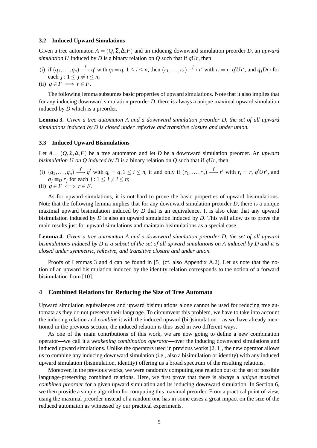#### **3.2 Induced Upward Simulations**

Given a tree automaton  $A = (O, \Sigma, \Delta, F)$  and an inducing downward simulation preorder *D*, an *upward simulation U* induced by *D* is a binary relation on *Q* such that if *qUr*, then

- (i) if  $(q_1, ..., q_n) \stackrel{f}{\longrightarrow} q'$  with  $q_i = q, 1 \le i \le n$ , then  $(r_1, ..., r_n) \stackrel{f}{\longrightarrow} r'$  with  $r_i = r, q' U r'$ , and  $q_j D r_j$  for each  $j: 1 \leq j \neq i \leq n$ ;
- (ii)  $q \in F \implies r \in F$ .

The following lemma subsumes basic properties of upward simulations. Note that it also implies that for any inducing downward simulation preorder *D*, there is always a unique maximal upward simulation induced by *D* which is a preorder.

**Lemma 3.** *Given a tree automaton A and a downward simulation preorder D, the set of all upward simulations induced by D is closed under reflexive and transitive closure and under union.*

## **3.3 Induced Upward Bisimulations**

Let *A* = (*Q*,Σ,∆,*F*) be a tree automaton and let *D* be a downward simulation preorder. An *upward bisimulation U on Q induced by D* is a binary relation on *Q* such that if *qUr*, then

- (i)  $(q_1, \ldots, q_n) \stackrel{f}{\longrightarrow} q'$  with  $q_i = q, 1 \le i \le n$ , if and only if  $(r_1, \ldots, r_n) \stackrel{f}{\longrightarrow} r'$  with  $r_i = r, q' U r'$ , and  $q_j \equiv_D r_j$  for each  $j: 1 \le j \ne i \le n$ ;
- (ii)  $q \in F \iff r \in F$

As for upward simulations, it is not hard to prove the basic properties of upward bisimulations. Note that the following lemma implies that for any downward simulation preorder *D*, there is a unique maximal upward bisimulation induced by *D* that is an equivalence. It is also clear that any upward bisimulation induced by *D* is also an upward simulation induced by *D*. This will allow us to prove the main results just for upward simulations and maintain bisimulations as a special case.

**Lemma 4.** *Given a tree automaton A and a downward simulation preorder D, the set of all upward bisimulations induced by D is a subset of the set of all upward simulations on A induced by D and it is closed under symmetric, reflexive, and transitive closure and under union.*

Proofs of Lemmas 3 and 4 can be found in [5] (cf. also Appendix A.2). Let us note that the notion of an upward bisimulation induced by the identity relation corresponds to the notion of a forward bisimulation from [10].

#### **4 Combined Relations for Reducing the Size of Tree Automata**

Upward simulation equivalences and upward bisimulations alone cannot be used for reducing tree automata as they do not preserve their language. To circumvent this problem, we have to take into account the inducing relation and *combine* it with the induced upward (bi-)simulation—as we have already mentioned in the previous section, the induced relation is thus used in two different ways.

As one of the main contributions of this work, we are now going to define a new combination operator—we call it a *weakening combination operator*—over the inducing downward simulations and induced upward simulations. Unlike the operators used in previous works [2, 1], the new operator allows us to combine any inducing downward simulation (i.e., also a bisimulation or identity) with any induced upward simulation (bisimulation, identity) offering us a broad spectrum of the resulting relations.

Moreover, in the previous works, we were randomly computing one relation out of the set of possible language-preserving combined relations. Here, we first prove that there is always a *unique maximal combined preorder* for a given upward simulation and its inducing downward simulation. In Section 6, we then provide a simple algorithm for computing this maximal preorder. From a practical point of view, using the maximal preorder instead of a random one has in some cases a great impact on the size of the reduced automaton as witnessed by our practical experiments.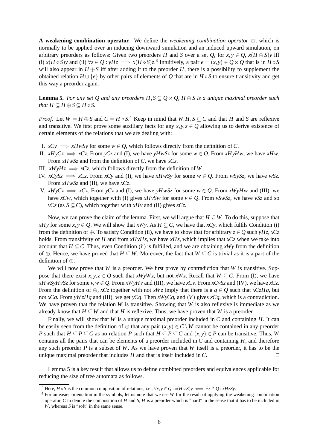**A weakening combination operator.** We define the *weakening combination operator* ⊕, which is normally to be applied over an inducing downward simulation and an induced upward simulation, on arbitrary preorders as follows: Given two preorders *H* and *S* over a set *Q*, for  $x, y \in Q$ ,  $x(H \oplus S)y$  iff (i)  $x(H \circ S)y$  and (ii)  $\forall z \in Q : yHz \implies x(H \circ S)z$ .<sup>3</sup> Intuitively, a pair  $e = (x, y) \in Q \times Q$  that is in  $H \circ S$ will also appear in  $H \oplus S$  iff after adding it to the preorder *H*, there is a possibility to supplement the obtained relation  $H \cup \{e\}$  by other pairs of elements of *Q* that are in  $H \circ S$  to ensure transitivity and get this way a preorder again.

**Lemma 5.** *For any set Q and any preorders*  $H, S \subseteq Q \times Q$ ,  $H \oplus S$  *is a unique maximal preorder such that*  $H \subseteq H \oplus S \subseteq H \circ S$ .

*Proof.* Let  $W = H \oplus S$  and  $C = H \circ S$ .<sup>4</sup> Keep in mind that  $W, H, S \subseteq C$  and that *H* and *S* are reflexive and transitive. We first prove some auxiliary facts for any  $x, y, z \in Q$  allowing us to derive existence of certain elements of the relations that we are dealing with:

- I.  $xCy \implies xHwSy$  for some  $w \in Q$ , which follows directly from the definition of *C*.
- II. *xHyCz*  $\implies$  *xCz*. From *yCz* and (I), we have *yHwSz* for some  $w \in Q$ . From *xHyHw*, we have *xHw*. From *xHwSz* and from the definition of *C*, we have *xCz*.
- III.  $xWyHz \implies xCz$ , which follows directly from the definition of *W*.
- IV.  $xCySz \implies xCz$ . From  $xCy$  and (I), we have  $xHwSy$  for some  $w \in Q$ . From  $wSySz$ , we have  $wSz$ . From *xHwSz* and (II), we have *xCz*.
- V.  $xWyCz \implies xCz$ . From  $yCz$  and (I), we have  $yHwSz$  for some  $w \in Q$ . From  $xWyHw$  and (III), we have *xCw*, which together with (I) gives *xHvSw* for some  $v \in Q$ . From *vSwSz*, we have *vSz* and so  $\nu C_z$  (as  $S \subseteq C$ ), which together with *xHv* and (II) gives *xCz*.

Now, we can prove the claim of the lemma. First, we will argue that *H* ⊆ *W*. To do this, suppose that *xHy* for some  $x, y \in Q$ . We will show that *xWy*. As  $H \subseteq C$ , we have that *xCy*, which fulfils Condition (i) from the definition of  $\oplus$ . To satisfy Condition (ii), we have to show that for arbitrary  $z \in Q$  such  $yHz$ ,  $xCz$ holds. From transitivity of *H* and from  $xHyHz$ , we have  $xHz$ , which implies that  $xCz$  when we take into account that  $H \subseteq C$ . Thus, even Condition (ii) is fulfilled, and we are obtaining *xWy* from the definition of  $\oplus$ . Hence, we have proved that  $H \subseteq W$ . Moreover, the fact that  $W \subseteq C$  is trivial as it is a part of the definition of ⊕.

We will now prove that *W* is a preorder. We first prove by contradiction that *W* is transitive. Suppose that there exist  $x, y, z \in Q$  such that  $xWyWz$ , but not  $xWz$ . Recall that  $W \subseteq C$ . From (I), we have *xHwSyHvSz* for some  $v, w \in Q$ . From *xWyHv* and (III), we have *xCv*. From *xCvSz* and (IV), we have *xCz*. From the definition of  $\oplus$ , *xCz* together with not *xWz* imply that there is a  $q \in Q$  such that *xCzHq*, but not *xCq*. From *yW zHq* and (III), we get *yCq*. Then *xWyCq*, and (*V*) gives *xCq*, which is a contradiction. We have proven that the relation *W* is transitive. Showing that *W* is also reflexive is immediate as we already know that  $H \subseteq W$  and that *H* is reflexive. Thus, we have proven that *W* is a preorder.

Finally, we will show that *W* is a unique maximal preorder included in *C* and containing *H*. It can be easily seen from the definition of  $\oplus$  that any pair  $(x, y) \in C \setminus W$  cannot be contained in any preorder *P* such that  $H \subseteq P \subseteq C$  as no relation *P* such that  $H \subseteq P \subseteq C$  and  $(x, y) \in P$  can be transitive. Thus, *W* contains all the pairs that can be elements of a preorder included in *C* and containing *H*, and therefore any such preorder *P* is a subset of *W*. As we have proven that *W* itself is a preorder, it has to be the unique maximal preorder that includes  $H$  and that is itself included in  $C$ .

Lemma 5 is a key result that allows us to define combined preorders and equivalences applicable for reducing the size of tree automata as follows.

<sup>&</sup>lt;sup>3</sup> Here,  $H \circ S$  is the common composition of relations, i.e.,  $\forall x, y \in Q : x(H \circ S)y \iff \exists z \in Q : xHzSy$ .

<sup>4</sup> For an easier orientation in the symbols, let us note that we use *W* for the result of applying the weakening combination operator, *C* to denote the composition of *H* and *S*, *H* is a preorder which is "hard" in the sense that it has to be included in *W*, whereas *S* is "soft" in the same sense.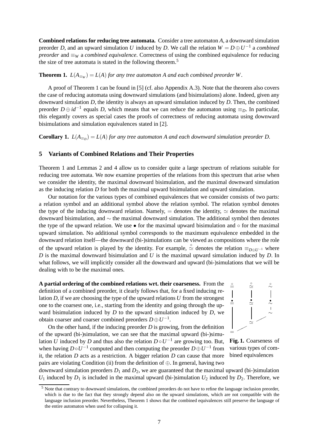**Combined relations for reducing tree automata.** Consider a tree automaton *A*, a downward simulation preorder *D*, and an upward simulation *U* induced by *D*. We call the relation  $W = D \oplus U^{-1}$  a *combined preorder* and ≡*W* a *combined equivalence*. Correctness of using the combined equivalence for reducing the size of tree automata is stated in the following theorem.<sup>5</sup>

**Theorem 1.**  $L(A_{\equiv W}) = L(A)$  *for any tree automaton A and each combined preorder* W.

A proof of Theorem 1 can be found in [5] (cf. also Appendix A.3). Note that the theorem also covers the case of reducing automata using downward simulations (and bisimulations) alone. Indeed, given any downward simulation *D*, the identity is always an upward simulation induced by *D*. Then, the combined preorder *D* ⊕ *id*<sup>-1</sup> equals *D*, which means that we can reduce the automaton using  $\equiv_D$ . In particular, this elegantly covers as special cases the proofs of correctness of reducing automata using downward bisimulations and simulation equivalences stated in [2].

**Corollary 1.**  $L(A_{\equiv_D}) = L(A)$  *for any tree automaton A and each downward simulation preorder D.* 

# **5 Variants of Combined Relations and Their Properties**

Theorem 1 and Lemmas 2 and 4 allow us to consider quite a large spectrum of relations suitable for reducing tree automata. We now examine properties of the relations from this spectrum that arise when we consider the identity, the maximal downward bisimulation, and the maximal downward simulation as the inducing relation *D* for both the maximal upward bisimulation and upward simulation.

Our notation for the various types of combined equivalences that we consider consists of two parts: a relation symbol and an additional symbol above the relation symbol. The relation symbol denotes the type of the inducing downward relation. Namely,  $=$  denotes the identity,  $\approx$  denotes the maximal downward bisimulation, and ∼ the maximal downward simulation. The additional symbol then denotes the type of the upward relation. We use • for the maximal upward bisimulation and ◦ for the maximal upward simulation. No additional symbol corresponds to the maximum equivalence embedded in the downward relation itself—the downward (bi-)simulations can be viewed as compositions where the role of the upward relation is played by the identity. For example,  $\stackrel{\circ}{\simeq}$  denotes the relation  $\equiv_{D\oplus U^{-1}}$  where *D* is the maximal downward bisimulation and *U* is the maximal upward simulation induced by *D*. In what follows, we will implicitly consider all the downward and upward (bi-)simulations that we will be dealing with to be the maximal ones.

**A partial ordering of the combined relations wrt. their coarseness.** From the definition of a combined preorder, it clearly follows that, for a fixed inducing relation *D*, if we are choosing the type of the upward relations *U* from the strongest one to the coarsest one, i.e., starting from the identity and going through the upward bisimulation induced by *D* to the upward simulation induced by *D*, we obtain coarser and coarser combined preorders  $D \oplus U^{-1}$ .



On the other hand, if the inducing preorder *D* is growing, from the definition of the upward (bi-)simulation, we can see that the maximal upward (bi-)simulation *U* induced by *D* and thus also the relation  $D \circ U^{-1}$  are growing too. But, when having  $D \circ U^{-1}$  computed and then computing the preorder  $D \oplus U^{-1}$  from it, the relation *D* acts as a restriction. A bigger relation *D* can cause that more pairs are violating Condition (ii) from the definition of ⊕. In general, having two

**Fig. 1.** Coarseness of various types of combined equivalences

downward simulation preorders  $D_1$  and  $D_2$ , we are guaranteed that the maximal upward (bi-)simulation  $U_1$  induced by  $D_1$  is included in the maximal upward (bi-)simulation  $U_2$  induced by  $D_2$ . Therefore, we

<sup>5</sup> Note that contrary to downward simulations, the combined preorders do not have to refine the language inclusion preorder, which is due to the fact that they strongly depend also on the upward simulations, which are not compatible with the language inclusion preorder. Nevertheless, Theorem 1 shows that the combined equivalences still preserve the language of the entire automaton when used for collapsing it.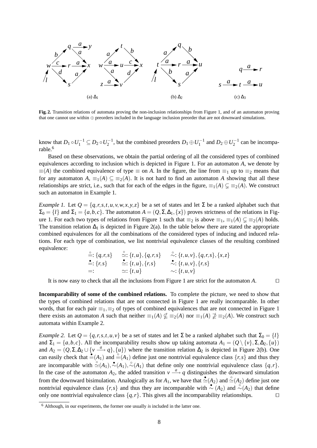

**Fig. 2.** Transition relations of automata proving the non-inclusion relationships from Figure 1, and of an automaton proving that one cannot use within  $oplus$  preorders included in the language inclusion preorder that are not downward simulations.

know that  $D_1 \circ U_1^{-1} \subseteq D_2 \circ U_2^{-1}$ , but the combined preorders  $D_1 \oplus U_1^{-1}$  and  $D_2 \oplus U_2^{-1}$  can be incomparable.<sup>6</sup>

Based on these observations, we obtain the partial ordering of all the considered types of combined equivalences according to inclusion which is depicted in Figure 1. For an automaton *A*, we denote by  $\equiv$ (*A*) the combined equivalence of type  $\equiv$  on *A*. In the figure, the line from  $\equiv$ <sub>1</sub> up to  $\equiv$ <sub>2</sub> means that for any automaton  $A$ ,  $\equiv_1(A) \subseteq \equiv_2(A)$ . It is not hard to find an automaton *A* showing that all these relationships are strict, i.e., such that for each of the edges in the figure,  $\equiv_1(A) \subsetneq \equiv_2(A)$ . We construct such an automaton in Example 1.

*Example 1.* Let  $Q = \{q, r, s, t, u, v, w, x, y, z\}$  be a set of states and let  $\Sigma$  be a ranked alphabet such that  $\Sigma_0 = \{l\}$  and  $\Sigma_1 = \{a, b, c\}$ . The automaton  $A = (Q, \Sigma, \Delta_1, \{x\})$  proves strictness of the relations in Figure 1. For each two types of relations from Figure 1 such that  $\equiv_2$  is above  $\equiv_1$ ,  $\equiv_1(A) \subsetneq \equiv_2(A)$  holds. The transition relation  $\Delta_1$  is depicted in Figure 2(a). In the table below there are stated the appropriate combined equivalences for all the combinations of the considered types of inducing and induced relations. For each type of combination, we list nontrivial equivalence classes of the resulting combined equivalence:

$$
\begin{array}{ll}\n\stackrel{\circ}{=}: \{q,r,s\} & \stackrel{\circ}{\sim}: \{t,u\}, \{q,r,s\} & \stackrel{\circ}{\sim}: \{t,u,v\}, \{q,r,s\}, \{x,z\} \\
\stackrel{\bullet}{=}: \{r,s\} & \stackrel{\bullet}{\sim}: \{t,u\}, \{r,s\} & \stackrel{\bullet}{\sim}: \{t,u,v\}, \{r,s\} \\
\stackrel{\bullet}{=}: & \sim: \{t,u\} & \sim: \{t,u,v\} &\n\end{array}
$$

It is now easy to check that all the inclusions from Figure 1 are strict for the automaton  $A$ .  $\square$ 

**Incomparability of some of the combined relations.** To complete the picture, we need to show that the types of combined relations that are not connected in Figure 1 are really incomparable. In other words, that for each pair  $\equiv_1, \equiv_2$  of types of combined equivalences that are not connected in Figure 1 there exists an automaton *A* such that neither  $\equiv_1(A) \nsubseteq \equiv_2(A)$  nor  $\equiv_1(A) \nsubseteq \equiv_2(A)$ . We construct such automata within Example 2.

*Example 2.* Let  $Q = \{q, r, s, t, u, v\}$  be a set of states and let  $\Sigma$  be a ranked alphabet such that  $\Sigma_0 = \{l\}$ and  $\Sigma_1 = \{a, b, c\}$ . All the incomparability results show up taking automata  $A_1 = (Q \setminus \{v\}, \Sigma, \Delta_2, \{u\})$ and  $A_2 = (Q, \Sigma, \Delta_2 \cup \{v \stackrel{a}{\longrightarrow} q\}, \{u\})$  where the transition relation  $\Delta_2$  is depicted in Figure 2(b). One can easily check that  $\stackrel{\bullet}{=}$ (*A*<sub>1</sub>) and  $\stackrel{\circ}{=}$ (*A*<sub>1</sub>) define just one nontrivial equivalence class {*r*,*s*} and thus they are incomparable with  $\stackrel{\circ}{\simeq} (A_1), \stackrel{\circ}{\sim} (A_1), \stackrel{\circ}{\sim} (A_1)$  that define only one nontrivial equivalence class  $\{q, r\}$ . In the case of the automaton  $A_2$ , the added transition  $v \stackrel{a}{\longrightarrow} q$  distinguishes the downward simulation from the downward bisimulation. Analogically as for  $A_1$ , we have that  $\stackrel{\bullet}{\simeq} (A_2)$  and  $\stackrel{\circ}{\simeq} (A_2)$  define just one nontrivial equivalence class  $\{r,s\}$  and thus they are incomparable with  $\stackrel{\bullet}{\sim}(A_2)$  and  $\stackrel{\circ}{\sim}(A_2)$  that define only one nontrivial equivalence class  $\{q, r\}$ . This gives all the incomparability relationships.

<sup>6</sup> Although, in our experiments, the former one usually *is* included in the latter one.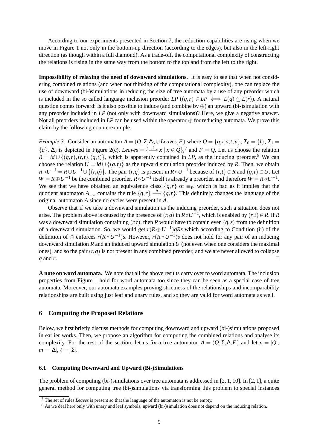According to our experiments presented in Section 7, the reduction capabilities are rising when we move in Figure 1 not only in the bottom-up direction (according to the edges), but also in the left-right direction (as though within a full diamond). As a trade-off, the computational complexity of constructing the relations is rising in the same way from the bottom to the top and from the left to the right.

**Impossibility of relaxing the need of downward simulations.** It is easy to see that when not considering combined relations (and when not thinking of the computational complexity), one can replace the use of downward (bi-)simulations in reducing the size of tree automata by a use of any preorder which is included in the so called language inclusion preorder *LP* ((*q*,*r*)  $\in$  *LP*  $\iff$  *L*(*q*)  $\subseteq$  *L*(*r*)). A natural question comes forward: Is it also possible to induce (and combine by  $\oplus$ ) an upward (bi-)simulation with any preorder included in *LP* (not only with downward simulations)? Here, we give a negative answer. Not all preorders included in  $LP$  can be used within the operator  $\oplus$  for reducing automata. We prove this claim by the following counterexample.

*Example 3.* Consider an automaton  $A = (Q, \Sigma, \Delta_3 \cup \text{Leaves}, F)$  where  $Q = \{q, r, s, t, u\}, \Sigma_0 = \{l\}, \Sigma_1 =$  $\{a\}$ ,  $\Delta_3$  is depicted in Figure 2(c), *Leaves* =  $\{\rightarrow x \mid x \in Q\}$ ,<sup>7</sup> and  $F = Q$ . Let us choose the relation  $R = id \cup \{(q,r),(r,t),(q,t)\}\$ , which is apparently contained in *LP*, as the inducing preorder.<sup>8</sup> We can choose the relation  $U = id \cup \{(q,t)\}\$ as the upward simulation preorder induced by *R*. Then, we obtain  $R \circ U^{-1} = R \cup U^{-1} \cup \{(r,q)\}\$ . The pair  $(r,q)$  is present in  $R \circ U^{-1}$  because of  $(r,t) \in R$  and  $(q,t) \in U$ . Let  $W = R \oplus U^{-1}$  be the combined preorder.  $R \circ U^{-1}$  itself is already a preorder, and therefore  $W = R \circ U^{-1}$ . We see that we have obtained an equivalence class  $\{q, r\}$  of  $\equiv_W$  which is bad as it implies that the quotient automaton  $A_{\equiv_W}$  contains the rule  $\{q, r\} \stackrel{a}{\longrightarrow} \{q, r\}$ . This definitely changes the language of the original automaton *A* since no cycles were present in *A*.

Observe that if we take a downward simulation as the inducing preorder, such a situation does not arise. The problem above is caused by the presence of  $(r, q)$  in  $R \circ U^{-1}$ , which is enabled by  $(r, t) \in R$ . If R was a downward simulation containing  $(r, t)$ , then *R* would have to contain even  $(q, s)$  from the definition of a downward simulation. So, we would get  $r(R \oplus U^{-1})qRs$  which according to Condition (ii) of the definition of ⊕ enforces  $r(R \circ U^{-1})s$ . However,  $r(R \circ U^{-1})s$  does not hold for any pair of an inducing downward simulation *R* and an induced upward simulation *U* (not even when one considers the maximal ones), and so the pair  $(r, q)$  is not present in any combined preorder, and we are never allowed to collapse *q* and *r*.

**A note on word automata.** We note that all the above results carry over to word automata. The inclusion properties from Figure 1 hold for word automata too since they can be seen as a special case of tree automata. Moreover, our automata examples proving strictness of the relationships and incomparability relationships are built using just leaf and unary rules, and so they are valid for word automata as well.

# **6 Computing the Proposed Relations**

Below, we first briefly discuss methods for computing downward and upward (bi-)simulations proposed in earlier works. Then, we propose an algorithm for computing the combined relations and analyse its complexity. For the rest of the section, let us fix a tree automaton  $A = (Q, \Sigma, \Delta, F)$  and let  $n = |Q|$ ,  $m = |\Delta|, \ell = |\Sigma|.$ 

## **6.1 Computing Downward and Upward (Bi-)Simulations**

The problem of computing (bi-)simulations over tree automata is addressed in [2, 1, 10]. In [2, 1], a quite general method for computing tree (bi-)simulations via transforming this problem to special instances

<sup>&</sup>lt;sup>7</sup> The set of rules *Leaves* is present so that the language of the automaton is not be empty.

<sup>&</sup>lt;sup>8</sup> As we deal here only with unary and leaf symbols, upward (bi-)simulation does not depend on the inducing relation.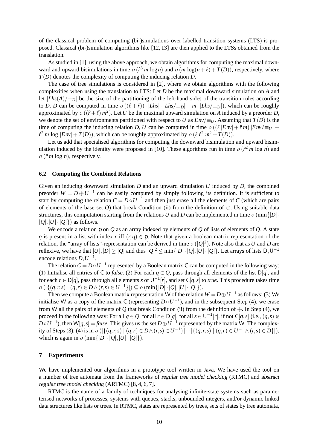of the classical problem of computing (bi-)simulations over labelled transition systems (LTS) is proposed. Classical (bi-)simulation algorithms like [12, 13] are then applied to the LTSs obtained from the translation.

As studied in [1], using the above approach, we obtain algorithms for computing the maximal downward and upward bisimulations in time  $\sigma(\hat{r}^3 m \log n)$  and  $\sigma(m \log(n+\ell) + T(D))$ , respectively, where *T*(*D*) denotes the complexity of computing the inducing relation *D*.

The case of tree simulations is considered in [2], where we obtain algorithms with the following complexities when using the translation to LTS: Let *D* be the maximal downward simulation on *A* and let  $|Lhs(A)| \equiv_D |$  be the size of the partitioning of the left-hand sides of the transition rules according to *D*. *D* can be computed in time  $\sigma((\ell + \hat{r})) \cdot |Lhs| \cdot |Lhs/\equiv_D | + m \cdot |Lhs/\equiv_D |$ , which can be roughly approximated by  $o((\hat{r}+\ell) m^2)$ . Let *U* be the maximal upward simulation on *A* induced by a preorder *D*, we denote the set of environments partitioned with respect to *U* as  $Env/\equiv_U$ . Assuming that  $T(D)$  is the time of computing the inducing relation *D*, *U* can be computed in time  $o((\ell | Env| + \hat{r}m) | Env / \equiv_{U}$  +  $\hat{r}^2$  *m* log  $|Env| + T(D)$ , which can be roughly approximated by  $\sigma(\ell \ \hat{r}^2 m^2 + T(D))$ .

Let us add that specialised algorithms for computing the downward bisimulation and upward bisimulation induced by the identity were proposed in [10]. These algorithms run in time  $\sigma(\hat{r}^2 m \log n)$  and  $\varphi$  ( $\hat{r}$  *m* log *n*), respectively.

#### **6.2 Computing the Combined Relations**

Given an inducing downward simulation *D* and an upward simulation *U* induced by *D*, the combined preorder  $W = D \oplus U^{-1}$  can be easily computed by simply following its definition. It is sufficient to start by computing the relation  $C = D \circ U^{-1}$  and then just erase all the elements of *C* (which are pairs of elements of the base set  $Q$ ) that break Condition (ii) from the definition of  $\oplus$ . Using suitable data structures, this computation starting from the relations *U* and *D* can be implemented in time  $\sigma$  (min{ $|D|$ ·  $|Q|, |U| \cdot |Q|$  as follows.

We encode a relation ρ on *Q* as an array indexed by elements of *Q* of lists of elements of *Q*. A state *q* is present in a list with index *r* iff  $(r, q) \in \rho$ . Note that given a boolean matrix representation of the relation, the "array of lists"-representation can be derived in time  $o(|Q|^2)$ . Note also that as *U* and *D* are reflexive, we have that  $|U|, |D| \ge |Q|$  and thus  $|Q|^2 \le \min\{|D| \cdot |Q|, |U| \cdot |Q|\}$ . Let arrays of lists D, U<sup>-1</sup> encode relations *D*, *U*<sup>-1</sup>.

The relation  $C = D \circ U^{-1}$  represented by a Boolean matrix C can be computed in the following way: (1) Initialise all entries of C to *false*. (2) For each  $q \in Q$ , pass through all elements of the list  $D[q]$ , and for each  $r \in D[q]$ , pass through all elements *s* of  $U^{-1}[r]$ , and set  $C[q, s]$  to *true*. This procedure takes time  $O(|\{(q,r,s) | (q,r) \in D \land (r,s) \in U^{-1}\}|) ⊆ O(\min\{|D| \cdot |Q|, |U| \cdot |Q|\}).$ 

Then we compute a Boolean matrix representation W of the relation  $W = D \oplus U^{-1}$  as follows: (3) We initialise W as a copy of the matrix C (representing  $D \circ U^{-1}$ ), and in the subsequent Step (4), we erase from W all the pairs of elements of  $Q$  that break Condition (ii) from the definition of  $\oplus$ . In Step (4), we proceed in the following way: For all  $q \in Q$ , for all  $r \in D[q]$ , for all  $s \in U^{-1}[r]$ , if not  $C[q,s]$  (i.e.,  $(q,s) \notin D[q]$  $D \circ U^{-1}$ ), then  $W[q, s] = false$ . This gives us the set  $D \oplus U^{-1}$  represented by the matrix W. The complexity of Steps (3), (4) is in  $o\left(\left|\{(q,r,s) | (q,r) \in D \wedge (r,s) \in U^{-1}\}\right| + \left|\{(q,r,s) | (q,r) \in U^{-1} \wedge (r,s) \in D\}\right|\right)$ , which is again in  $\sigma$  (min{ $|D| \cdot |Q|, |U| \cdot |Q|\}.$ 

# **7 Experiments**

We have implemented our algorithms in a prototype tool written in Java. We have used the tool on a number of tree automata from the frameworks of regular tree model checking (RTMC) and abstract regular tree model checking (ARTMC) [8, 4, 6, 7].

RTMC is the name of a family of techniques for analysing infinite-state systems such as parameterised networks of processes, systems with queues, stacks, unbounded integers, and/or dynamic linked data structures like lists or trees. In RTMC, states are represented by trees, sets of states by tree automata,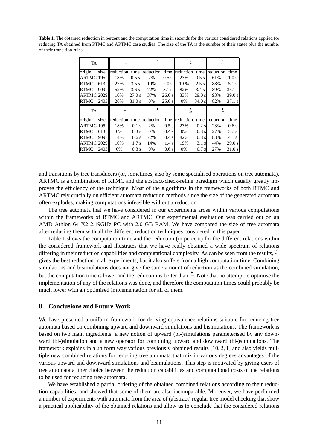**Table 1.** The obtained reduction in percent and the computation time in seconds for the various considered relations applied for reducing TA obtained from RTMC and ARTMC case studies. The size of the TA is the number of their states plus the number of their transition rules.

| TA                |      | $\sim$    |                  | $\circ$   |         | $\circ$<br>$\sim$ |         | $\circ$<br>$\sim$ |          |
|-------------------|------|-----------|------------------|-----------|---------|-------------------|---------|-------------------|----------|
| origin            | size | reduction | time             | reduction | time    | reduction         | time    | reduction         | time     |
| <b>ARTMC 195</b>  |      | 18%       | $0.5$ s          | 2%        | $0.5$ s | 23%               | $0.5$ s | 61%               | 1.0 s    |
| <b>RTMC</b>       | 613  | 27%       | 3.5s             | 19%       | 2.0 s   | 19 %              | 2.5s    | 88%               | $5.1$ s  |
| <b>RTMC</b>       | 909  | 52%       | 3.6 s            | 72%       | 3.1 s   | 82%               | 3.4 s   | 89%               | 35.1 s   |
| <b>ARTMC 2029</b> |      | 10%       | 27.0 s           | 37%       | 26.0 s  | 33%               | 29.0 s  | 93%               | 39.0 s   |
| RTMC              | 2403 | 26%       | 31.0 s           | 0%        | 25.0 s  | 0%                | 34.0 s  | 82%               | $37.1$ s |
|                   |      |           |                  |           |         |                   |         |                   |          |
| <b>TA</b>         |      | $\sim$    |                  |           |         |                   |         | $\sim$            |          |
| origin            | size | reduction | time             | reduction | time    | reduction         | time    | reduction         | time     |
| <b>ARTMC 195</b>  |      | 18%       | $0.1$ s          | 2%        | $0.5$ s | 23%               | 0.2 s   | 23%               | 0.6s     |
| <b>RTMC</b>       | 613  | 0%        | 0.3 s            | $0\%$     | 0.4 s   | 0%                | 0.8 s   | 27%               | 3.7 s    |
| <b>RTMC</b>       | 909  | 14%       | 0.6 s            | 72%       | 0.4 s   | 82%               | 0.8 s   | 83%               | 4.1 s    |
| <b>ARTMC 2029</b> |      | 10%       | 1.7 <sub>s</sub> | 14%       | 1.4 s   | 19%               | 3.1 s   | 44%               | 29.0 s   |

and transitions by tree transducers (or, sometimes, also by some specialised operations on tree automata). ARTMC is a combination of RTMC and the abstract-check-refine paradigm which usually greatly improves the efficiency of the technique. Most of the algorithms in the frameworks of both RTMC and ARTMC rely crucially on efficient automata reduction methods since the size of the generated automata often explodes, making computations infeasible without a reduction.

The tree automata that we have considered in our experiments arose within various computations within the frameworks of RTMC and ARTMC. Our experimental evaluation was carried out on an AMD Athlon 64 X2 2.19GHz PC with 2.0 GB RAM. We have compared the size of tree automata after reducing them with all the different reduction techniques considered in this paper.

Table 1 shows the computation time and the reduction (in percent) for the different relations within the considered framework and illustrates that we have really obtained a wide spectrum of relations differing in their reduction capabilities and computational complexity. As can be seen from the results,  $\stackrel{\sim}{\sim}$ gives the best reduction in all experiments, but it also suffers from a high computation time. Combining simulations and bisimulations does not give the same amount of reduction as the combined simulation, but the computation time is lower and the reduction is better than  $\stackrel{\bullet}{\sim}$ . Note that no attempt to optimise the implementation of any of the relations was done, and therefore the computation times could probably be much lower with an optimised implementation for all of them.

# **8 Conclusions and Future Work**

We have presented a uniform framework for deriving equivalence relations suitable for reducing tree automata based on combining upward and downward simulations and bisimulations. The framework is based on two main ingredients: a new notion of upward (bi-)simulations parameterised by any downward (bi-)simulation and a new operator for combining upward and downward (bi-)simulations. The framework explains in a uniform way various previously obtained results [10, 2, 1] and also yields multiple new combined relations for reducing tree automata that mix in various degrees advantages of the various upward and downward simulations and bisimulations. This step is motivated by giving users of tree automata a finer choice between the reduction capabilities and computational costs of the relations to be used for reducing tree automata.

We have established a partial ordering of the obtained combined relations according to their reduction capabilities, and showed that some of them are also incomparable. Moreover, we have performed a number of experiments with automata from the area of (abstract) regular tree model checking that show a practical applicability of the obtained relations and allow us to conclude that the considered relations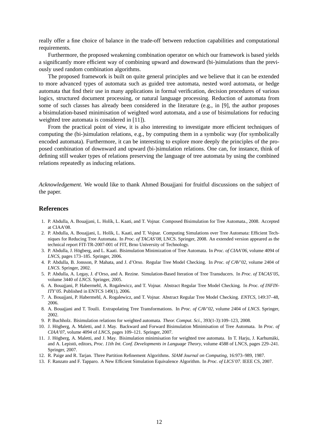really offer a fine choice of balance in the trade-off between reduction capabilities and computational requirements.

Furthermore, the proposed weakening combination operator on which our framework is based yields a significantly more efficient way of combining upward and downward (bi-)simulations than the previously used random combination algorithms.

The proposed framework is built on quite general principles and we believe that it can be extended to more advanced types of automata such as guided tree automata, nested word automata, or hedge automata that find their use in many applications in formal verification, decision procedures of various logics, structured document processing, or natural language processing. Reduction of automata from some of such classes has already been considered in the literature (e.g., in [9], the author proposes a bisimulation-based minimisation of weighted word automata, and a use of bisimulations for reducing weighted tree automata is considered in [11]).

From the practical point of view, it is also interesting to investigate more efficient techniques of computing the (bi-)simulation relations, e.g., by computing them in a symbolic way (for symbolically encoded automata). Furthermore, it can be interesting to explore more deeply the principles of the proposed combination of downward and upward (bi-)simulation relations. One can, for instance, think of defining still weaker types of relations preserving the language of tree automata by using the combined relations repeatedly as inducing relations.

*Acknowledgement.* We would like to thank Ahmed Bouajjani for fruitful discussions on the subject of the paper.

# **References**

- 1. P. Abdulla, A. Bouajjani, L. Holík, L. Kaati, and T. Vojnar. Composed Bisimulation for Tree Automata., 2008. Accepted at CIAA'08.
- 2. P. Abdulla, A. Bouajjani, L. Holík, L. Kaati, and T. Vojnar. Computing Simulations over Tree Automata: Efficient Techniques for Reducing Tree Automata. In *Proc. of TACAS'08*, LNCS. Springer, 2008. An extended version appeared as the technical report FIT-TR-2007-001 of FIT, Brno University of Technology.
- 3. P. Abdulla, J. Högberg, and L. Kaati. Bisimulation Minimization of Tree Automata. In *Proc. of CIAA'06*, volume 4094 of *LNCS*, pages 173–185. Springer, 2006.
- 4. P. Abdulla, B. Jonsson, P. Mahata, and J. d'Orso. Regular Tree Model Checking. In *Proc. of CAV'02*, volume 2404 of *LNCS*. Springer, 2002.
- 5. P. Abdulla, A. Legay, J. d'Orso, and A. Rezine. Simulation-Based Iteration of Tree Transducers. In *Proc. of TACAS'05*, volume 3440 of *LNCS*. Springer, 2005.
- 6. A. Bouajjani, P. Habermehl, A. Rogalewicz, and T. Vojnar. Abstract Regular Tree Model Checking. In *Proc. of INFIN-ITY'05*. Published in ENTCS 149(1), 2006.
- 7. A. Bouajjani, P. Habermehl, A. Rogalewicz, and T. Vojnar. Abstract Regular Tree Model Checking. *ENTCS*, 149:37–48, 2006.
- 8. A. Bouajjani and T. Touili. Extrapolating Tree Transformations. In *Proc. of CAV'02*, volume 2404 of *LNCS*. Springer, 2002.
- 9. P. Buchholz. Bisimulation relations for weighted automata. *Theor. Comput. Sci.*, 393(1-3):109–123, 2008.
- 10. J. Högberg, A. Maletti, and J. May. Backward and Forward Bisimulation Minimisation of Tree Automata. In *Proc. of CIAA'07*, volume 4094 of *LNCS*, pages 109–121. Springer, 2007.
- 11. J. Högberg, A. Maletti, and J. May. Bisimulation minimisation for weighted tree automata. In T. Harju, J. Karhumäki, and A. Lepistö, editors, *Proc. 11th Int. Conf. Developments in Language Theory*, volume 4588 of LNCS, pages 229–241. Springer, 2007.
- 12. R. Paige and R. Tarjan. Three Partition Refinement Algorithms. *SIAM Journal on Computing*, 16:973–989, 1987.
- 13. F. Ranzato and F. Tapparo. A New Efficient Simulation Equivalence Algorithm. In *Proc. of LICS'07*. IEEE CS, 2007.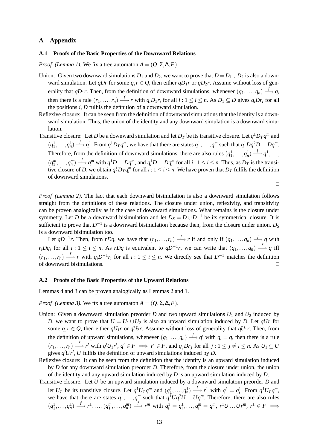# **A Appendix**

#### **A.1 Proofs of the Basic Properties of the Downward Relations**

*Proof (Lemma 1).* We fix a tree automaton  $A = (Q, \Sigma, \Delta, F)$ .

- Union: Given two downward simulations  $D_1$  and  $D_2$ , we want to prove that  $D = D_1 \cup D_2$  is also a downward simulation. Let *qDr* for some  $q, r \in Q$ , then either  $qD_1r$  or  $qD_2r$ . Assume without loss of generality that  $qD_1r$ . Then, from the definition of downward simulations, whenever  $(q_1,\ldots,q_n) \stackrel{f}{\longrightarrow} q$ , then there is a rule  $(r_1,\ldots,r_n) \stackrel{f}{\longrightarrow} r$  with  $q_iD_1r_i$  for all  $i: 1 \leq i \leq n$ . As  $D_1 \subseteq D$  gives  $q_iDr_i$  for all the positions *i*, *D* fulfils the definition of a downward simulation.
- Reflexive closure: It can be seen from the definition of downward simulations that the identity is a downward simulation. Thus, the union of the identity and any downward simulation is a downward simulation.
- Transitive closure: Let *D* be a downward simulation and let  $D_T$  be its transitive closure. Let  $q^1D_Tq^m$  and  $(q_1^1, \ldots, q_n^1) \stackrel{f}{\longrightarrow} q^1$ . From  $q^1D_Tq^m$ , we have that there are states  $q^1, \ldots, q^m$  such that  $q^1Dq^2D \ldots Dq^m$ . Therefore, from the definition of downward simulations, there are also rules  $(q_1^1, \ldots, q_n^1) \stackrel{f}{\longrightarrow} q^1, \ldots,$  $(q_1^m, \ldots, q_n^m) \stackrel{f}{\longrightarrow} q^m$  with  $q^1D \ldots Dq^m$ , and  $q_i^1D \ldots Dq_i^m$  for all  $i: 1 \le i \le n$ . Thus, as  $D_T$  is the transitive closure of *D*, we obtain  $q_i^1 D_T q_i^m$  for all  $i: 1 \le i \le n$ . We have proven that  $D_T$  fulfils the definition of downward simulations.

 $\Box$ 

*Proof (Lemma 2).* The fact that each downward bisimulation is also a downward simulation follows straight from the definitions of these relations. The closure under union, reflexivity, and transitivity can be proven analogically as in the case of downward simulations. What remains is the closure under symmetry. Let *D* be a downward bisimulation and let  $D_s = D \cup D^{-1}$  be its symmetrical closure. It is sufficient to prove that  $D^{-1}$  is a downward bisimulation because then, from the closure under union,  $D_S$ is a downward bisimulation too.

Let  $qD^{-1}r$ . Then, from  $rDq$ , we have that  $(r_1, \ldots, r_n) \stackrel{f}{\longrightarrow} r$  if and only if  $(q_1, \ldots, q_n) \stackrel{f}{\longrightarrow} q$  with *r*<sub>*i*</sub>*Dq<sub>i</sub>* for all  $i: 1 \le i \le n$ . As *rDq* is equivalent to  $qD^{-1}r$ , we can write that  $(q_1,...,q_n) \stackrel{f}{\longrightarrow} q$  iff  $(r_1,...,r_n) \stackrel{f}{\longrightarrow} r$  with  $q_i D^{-1} r_i$  for all  $i: 1 \leq i \leq n$ . We directly see that  $D^{-1}$  matches the definition of downward bisimulations.  $\Box$ 

#### **A.2 Proofs of the Basic Properties of the Upward Relations**

Lemmas 4 and 3 can be proven analogically as Lemmas 2 and 1.

*Proof (Lemma 3).* We fix a tree automaton  $A = (Q, \Sigma, \Delta, F)$ .

- Union: Given a downward simulation preorder *D* and two upward simulations  $U_1$  and  $U_2$  induced by *D*, we want to prove that  $U = U_1 \cup U_2$  is also an upward simulation induced by *D*. Let  $qUr$  for some  $q, r \in Q$ , then either  $qU_1r$  or  $qU_2r$ . Assume without loss of generality that  $qU_1r$ . Then, from the definition of upward simulations, whenever  $(q_1,...,q_n) \stackrel{f}{\longrightarrow} q'$  with  $q_i = q$ , then there is a rule  $(r_1,\ldots,r_n)\stackrel{f}{\longrightarrow} r'$  with  $q'U_1r', q' \in F \implies r' \in F$ , and  $q_jDr_j$  for all  $j: 1 \leq j \neq i \leq n$ . As  $U_1 \subseteq U$ gives  $q'Ur'$ , *U* fulfils the definition of upward simulations induced by *D*.
- Reflexive closure: It can be seen from the definition that the identity is an upward simulation induced by *D* for any downward simulation preorder *D*. Therefore, from the closure under union, the union of the identity and any upward simulation induced by *D* is an upward simulation induced by *D*.

Transitive closure: Let *U* be an upward simulation induced by a downward simulatoin preorder *D* and

let  $U_T$  be its transitive closure. Let  $q^1U_Tq^m$  and  $(q_1^1,\ldots,q_n^1)\stackrel{f}{\longrightarrow}r^1$  with  $q^1=q_i^1$ . From  $q^1U_Tq^m$ , we have that there are states  $q^1, \ldots, q^m$  such that  $q^1 U q^2 U \ldots U q^m$ . Therefore, there are also rules  $(q_1^1, ..., q_n^1) \xrightarrow{f} r^1, ..., (q_1^m, ..., q_n^m) \xrightarrow{f} r^m$  with  $q_i^1 = q_i^1, ..., q_i^m = q^m, r^1 U... U r^m, r^1 \in F \implies$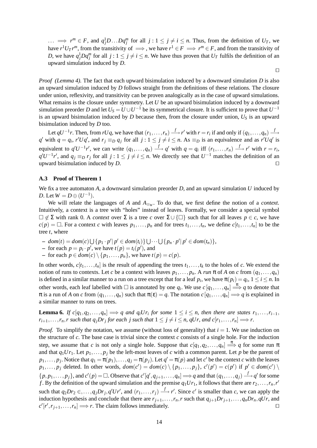...  $\implies r^m \in F$ , and  $q_j^1D...Dq_j^m$  for all *j* : 1 ≤ *j* ≠ *i* ≤ *n*. Thus, from the definition of *U<sub>T</sub>*, we have  $r^1U_Tr^m$ , from the transitivity of  $\implies$ , we have  $r^1 \in F \implies r^m \in F$ , and from the transitivity of *D*, we have  $q_j^1 D q_j^m$  for all  $j: 1 \le j \ne i \le n$ . We have thus proven that  $U_T$  fulfils the definition of an upward simulation induced by *D*.

 $\Box$ 

*Proof (Lemma 4).* The fact that each upward bisimulation induced by a downward simulation *D* is also an upward simulation induced by *D* follows straight from the definitions of these relations. The closure under union, reflexivity, and transitivity can be proven analogically as in the case of upward simulations. What remains is the closure under symmetry. Let *U* be an upward bisimulation induced by a downward simulation preorder *D* and let  $U_S = U \cup U^{-1}$  be its symmetrical closure. It is sufficient to prove that  $U^{-1}$ is an upward bisimulation induced by *D* because then, from the closure under union,  $U<sub>S</sub>$  is an upward bisimulation induced by *D* too.

Let  $qU^{-1}r$ . Then, from  $rUq$ , we have that  $(r_1,\ldots,r_n)\stackrel{f}{\longrightarrow}r'$  with  $r=r_i$  if and only if  $(q_1,\ldots,q_n)\stackrel{f}{\longrightarrow}r'$ q' with  $q = q_i$ , r'Uq', and  $r_j \equiv_D q_j$  for all  $j : 1 \le j \ne i \le n$ . As  $\equiv_D$  is an equivalence and as r'Uq' is equivalent to  $q'U^{-1}r'$ , we can write  $(q_1,\ldots,q_n)\stackrel{f}{\longrightarrow} q'$  with  $q=q_i$  iff  $(r_1,\ldots,r_n)\stackrel{f}{\longrightarrow} r'$  with  $r=r_i$ ,  $q'U^{-1}r'$ , and  $q_j \equiv_D r_j$  for all  $j: 1 \le j \ne i \le n$ . We directly see that  $U^{-1}$  matches the definition of an upward bisimulation induced by *D*.

## **A.3 Proof of Theorem 1**

We fix a tree automaton *A*, a downward simulation preorder *D*, and an upward simulation *U* induced by *D*. Let  $W = D \oplus (U^{-1})$ .

We will relate the languages of *A* and  $A_{\equiv w}$ . To do that, we first define the notion of a *context*. Intuitively, a context is a tree with "holes" instead of leaves. Formally, we consider a special symbol  $\Box \notin \Sigma$  with rank 0. A *context* over  $\Sigma$  is a tree *c* over  $\Sigma \cup \{\Box\}$  such that for all leaves  $p \in c$ , we have  $c(p) = \Box$ . For a context *c* with leaves  $p_1, \ldots, p_n$  and for trees  $t_1, \ldots, t_n$ , we define  $c[t_1, \ldots, t_n]$  to be the tree *t*, where

 $- dom(t) = dom(c) \cup \{p_1 \cdot p' | p' \in dom(t_i)\} \cup \cdots \cup \{p_n \cdot p' | p' \in dom(t_n)\},$ 

- $\blacksquare$  for each  $p = p_i \cdot p'$ , we have  $t(p) = t_i(p')$ , and
- **–** for each *p* ∈ *dom*(*c*) \ {*p*1,..., *pn*}, we have *t*(*p*) = *c*(*p*).

In other words,  $c[t_1,...,t_n]$  is the result of appending the trees  $t_1,...,t_k$  to the holes of *c*. We extend the notion of runs to contexts. Let *c* be a context with leaves  $p_1, \ldots, p_n$ . A *run*  $\pi$  of *A* on *c* from  $(q_1, \ldots, q_n)$ is defined in a similar manner to a run on a tree except that for a leaf  $p_i$ , we have  $\pi(p_i) = q_i, 1 \le i \le n$ . In other words, each leaf labelled with  $\Box$  is annotated by one  $q_i$ . We use  $c[q_1,\ldots,q_n] \stackrel{\pi}{\Longrightarrow} q$  to denote that  $\pi$  is a run of *A* on *c* from  $(q_1, \ldots, q_n)$  such that  $\pi(\epsilon) = q$ . The notation  $c[q_1, \ldots, q_n] \Longrightarrow q$  is explained in a similar manner to runs on trees.

**Lemma 6.** *If*  $c[q_1, q_2, \ldots, q_n] \Longrightarrow q$  and  $q_i U r_i$  for some  $1 \leq i \leq n$ , then there are states  $r_1, \ldots, r_{i-1}$ , *r*<sub>*i*+1</sub>,...,*r<sub>n</sub>*,*r* such that  $q_jDr_j$  for each j such that  $1 \leq j \neq i \leq n$ ,  $qUr$ , and  $c[r_1,...,r_n] \Longrightarrow r$ .

*Proof.* To simplify the notation, we assume (without loss of generality) that  $i = 1$ . We use induction on the structure of *c*. The base case is trivial since the context *c* consists of a single hole. For the induction step, we assume that *c* is not only a single hole. Suppose that  $c[q_1, q_2, ..., q_n] \stackrel{\pi}{\Longrightarrow} q$  for some run  $\pi$ and that  $q_1 U r_1$ . Let  $p_1, \ldots, p_j$  be the left-most leaves of *c* with a common parent. Let *p* be the parent of  $p_1, \ldots, p_j$ . Notice that  $q_1 = \pi(p_1), \ldots, q_j = \pi(p_j)$ . Let  $q' = \pi(p)$  and let *c*' be the context *c* with the leaves  $p_1,\ldots,p_j$  deleted. In other words,  $dom(c') = dom(c) \setminus \{p_1,\ldots,p_j\}$ ,  $c'(p') = c(p')$  if  $p' \in dom(c') \setminus \{p_1,\ldots,p_j\}$  $\{p,p_1,\ldots,p_j\}$ , and  $c'(p) = \square$ . Observe that  $c'[q',q_{j+1},\ldots,q_n] \Longrightarrow q$  and that  $(q_1,\ldots,q_j) \stackrel{f}{\longrightarrow} q'$  for some *f*. By the definition of the upward simulation and the premise  $q_1 U r_1$ , it follows that there are  $r_2, \ldots, r_n, r'$ such that  $q_2Dr_2 \in, \ldots, q_jDr_j, q'Ur'$ , and  $(r_1, \ldots, r_j) \stackrel{f}{\longrightarrow} r'$ . Since *c'* is smaller than *c*, we can apply the induction hypothesis and conclude that there are  $r_{j+1}, \ldots, r_n, r$  such that  $q_{j+1}Dr_{j+1}, \ldots, q_nDr_n, qUr$ , and  $c'[r', r_{j+1}, \ldots, r_n] \Longrightarrow r$ . The claim follows immediately.